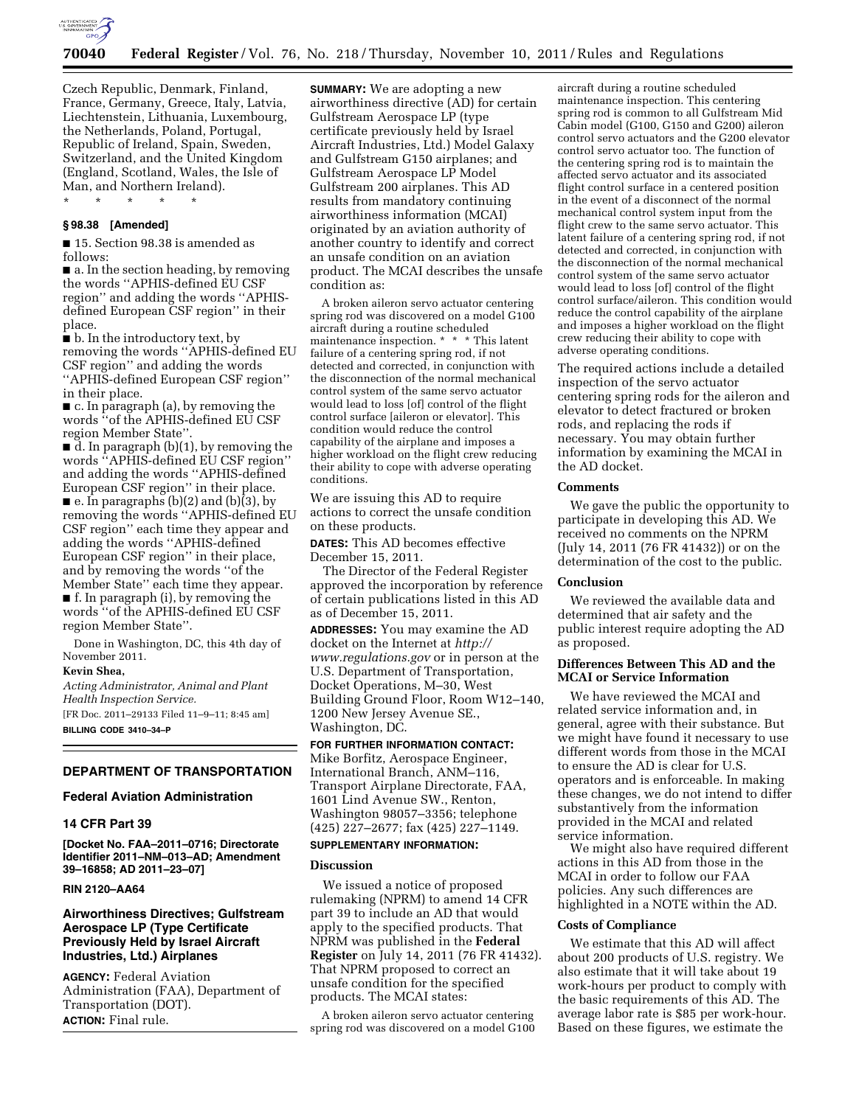

Czech Republic, Denmark, Finland, France, Germany, Greece, Italy, Latvia, Liechtenstein, Lithuania, Luxembourg, the Netherlands, Poland, Portugal, Republic of Ireland, Spain, Sweden, Switzerland, and the United Kingdom (England, Scotland, Wales, the Isle of Man, and Northern Ireland). \* \* \* \* \*

#### **§ 98.38 [Amended]**

■ 15. Section 98.38 is amended as follows:

■ a. In the section heading, by removing the words ''APHIS-defined EU CSF region'' and adding the words ''APHISdefined European CSF region'' in their place.

■ b. In the introductory text, by removing the words ''APHIS-defined EU CSF region'' and adding the words ''APHIS-defined European CSF region'' in their place.

■ c. In paragraph (a), by removing the words ''of the APHIS-defined EU CSF region Member State''.

 $\overrightarrow{d}$ . In paragraph (b)(1), by removing the words ''APHIS-defined EU CSF region'' and adding the words ''APHIS-defined European CSF region'' in their place.  $\blacksquare$  e. In paragraphs (b)(2) and (b)(3), by removing the words ''APHIS-defined EU CSF region'' each time they appear and adding the words ''APHIS-defined

European CSF region'' in their place, and by removing the words ''of the Member State'' each time they appear. ■ f. In paragraph (i), by removing the words ''of the APHIS-defined EU CSF region Member State''.

Done in Washington, DC, this 4th day of November 2011.

#### **Kevin Shea,**

*Acting Administrator, Animal and Plant Health Inspection Service.* 

[FR Doc. 2011–29133 Filed 11–9–11; 8:45 am] **BILLING CODE 3410–34–P** 

# **DEPARTMENT OF TRANSPORTATION**

# **Federal Aviation Administration**

#### **14 CFR Part 39**

**[Docket No. FAA–2011–0716; Directorate Identifier 2011–NM–013–AD; Amendment 39–16858; AD 2011–23–07]** 

# **RIN 2120–AA64**

# **Airworthiness Directives; Gulfstream Aerospace LP (Type Certificate Previously Held by Israel Aircraft Industries, Ltd.) Airplanes**

**AGENCY:** Federal Aviation Administration (FAA), Department of Transportation (DOT). **ACTION:** Final rule.

**SUMMARY:** We are adopting a new airworthiness directive (AD) for certain Gulfstream Aerospace LP (type certificate previously held by Israel Aircraft Industries, Ltd.) Model Galaxy and Gulfstream G150 airplanes; and Gulfstream Aerospace LP Model Gulfstream 200 airplanes. This AD results from mandatory continuing airworthiness information (MCAI) originated by an aviation authority of another country to identify and correct an unsafe condition on an aviation product. The MCAI describes the unsafe condition as:

A broken aileron servo actuator centering spring rod was discovered on a model G100 aircraft during a routine scheduled maintenance inspection. \* \* \* This latent failure of a centering spring rod, if not detected and corrected, in conjunction with the disconnection of the normal mechanical control system of the same servo actuator would lead to loss [of] control of the flight control surface [aileron or elevator]. This condition would reduce the control capability of the airplane and imposes a higher workload on the flight crew reducing their ability to cope with adverse operating conditions.

We are issuing this AD to require actions to correct the unsafe condition on these products.

**DATES:** This AD becomes effective December 15, 2011.

The Director of the Federal Register approved the incorporation by reference of certain publications listed in this AD as of December 15, 2011.

**ADDRESSES:** You may examine the AD docket on the Internet at *[http://](http://www.regulations.gov)  [www.regulations.gov](http://www.regulations.gov)* or in person at the U.S. Department of Transportation, Docket Operations, M–30, West Building Ground Floor, Room W12–140, 1200 New Jersey Avenue SE., Washington, DC.

**FOR FURTHER INFORMATION CONTACT:**  Mike Borfitz, Aerospace Engineer, International Branch, ANM–116, Transport Airplane Directorate, FAA, 1601 Lind Avenue SW., Renton, Washington 98057–3356; telephone (425) 227–2677; fax (425) 227–1149.

# **SUPPLEMENTARY INFORMATION:**

# **Discussion**

We issued a notice of proposed rulemaking (NPRM) to amend 14 CFR part 39 to include an AD that would apply to the specified products. That NPRM was published in the **Federal Register** on July 14, 2011 (76 FR 41432). That NPRM proposed to correct an unsafe condition for the specified products. The MCAI states:

A broken aileron servo actuator centering spring rod was discovered on a model G100 aircraft during a routine scheduled maintenance inspection. This centering spring rod is common to all Gulfstream Mid Cabin model (G100, G150 and G200) aileron control servo actuators and the G200 elevator control servo actuator too. The function of the centering spring rod is to maintain the affected servo actuator and its associated flight control surface in a centered position in the event of a disconnect of the normal mechanical control system input from the flight crew to the same servo actuator. This latent failure of a centering spring rod, if not detected and corrected, in conjunction with the disconnection of the normal mechanical control system of the same servo actuator would lead to loss [of] control of the flight control surface/aileron. This condition would reduce the control capability of the airplane and imposes a higher workload on the flight crew reducing their ability to cope with adverse operating conditions.

The required actions include a detailed inspection of the servo actuator centering spring rods for the aileron and elevator to detect fractured or broken rods, and replacing the rods if necessary. You may obtain further information by examining the MCAI in the AD docket.

#### **Comments**

We gave the public the opportunity to participate in developing this AD. We received no comments on the NPRM (July 14, 2011 (76 FR 41432)) or on the determination of the cost to the public.

## **Conclusion**

We reviewed the available data and determined that air safety and the public interest require adopting the AD as proposed.

## **Differences Between This AD and the MCAI or Service Information**

We have reviewed the MCAI and related service information and, in general, agree with their substance. But we might have found it necessary to use different words from those in the MCAI to ensure the AD is clear for U.S. operators and is enforceable. In making these changes, we do not intend to differ substantively from the information provided in the MCAI and related service information.

We might also have required different actions in this AD from those in the MCAI in order to follow our FAA policies. Any such differences are highlighted in a NOTE within the AD.

### **Costs of Compliance**

We estimate that this AD will affect about 200 products of U.S. registry. We also estimate that it will take about 19 work-hours per product to comply with the basic requirements of this AD. The average labor rate is \$85 per work-hour. Based on these figures, we estimate the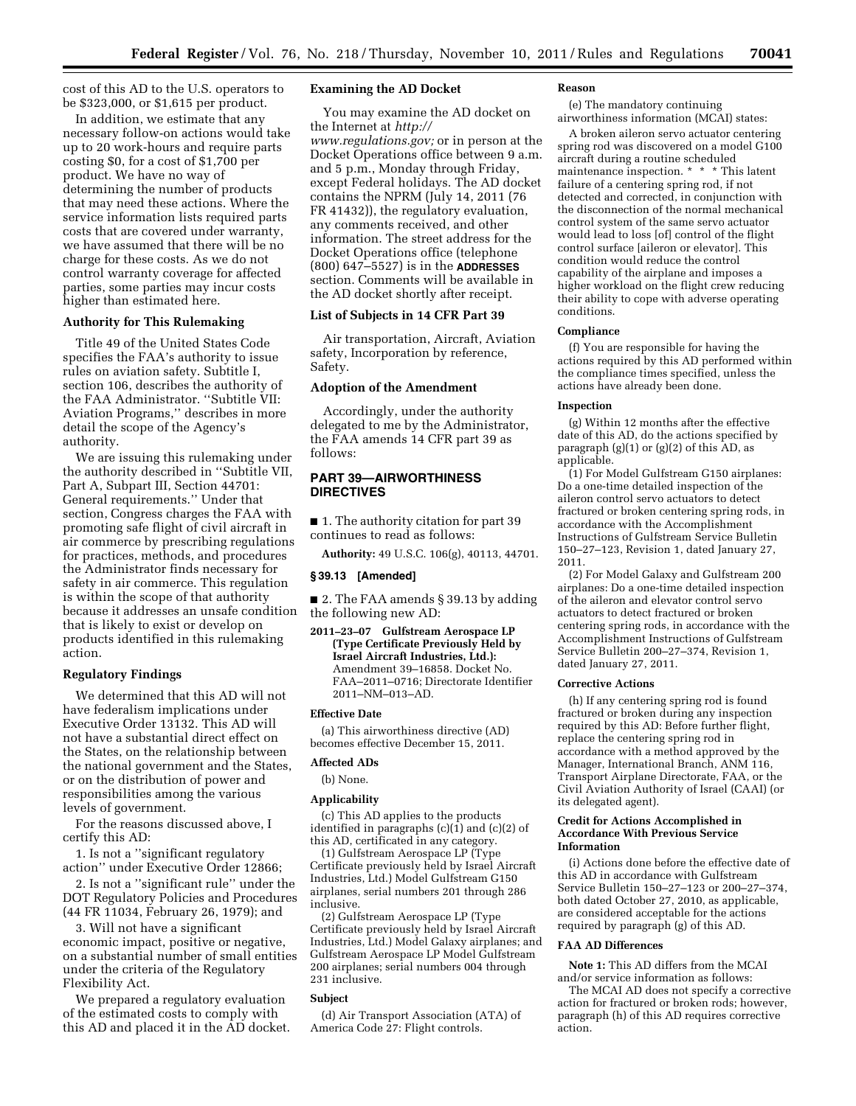cost of this AD to the U.S. operators to be \$323,000, or \$1,615 per product.

In addition, we estimate that any necessary follow-on actions would take up to 20 work-hours and require parts costing \$0, for a cost of \$1,700 per product. We have no way of determining the number of products that may need these actions. Where the service information lists required parts costs that are covered under warranty, we have assumed that there will be no charge for these costs. As we do not control warranty coverage for affected parties, some parties may incur costs higher than estimated here.

## **Authority for This Rulemaking**

Title 49 of the United States Code specifies the FAA's authority to issue rules on aviation safety. Subtitle I, section 106, describes the authority of the FAA Administrator. ''Subtitle VII: Aviation Programs,'' describes in more detail the scope of the Agency's authority.

We are issuing this rulemaking under the authority described in ''Subtitle VII, Part A, Subpart III, Section 44701: General requirements.'' Under that section, Congress charges the FAA with promoting safe flight of civil aircraft in air commerce by prescribing regulations for practices, methods, and procedures the Administrator finds necessary for safety in air commerce. This regulation is within the scope of that authority because it addresses an unsafe condition that is likely to exist or develop on products identified in this rulemaking action.

## **Regulatory Findings**

We determined that this AD will not have federalism implications under Executive Order 13132. This AD will not have a substantial direct effect on the States, on the relationship between the national government and the States, or on the distribution of power and responsibilities among the various levels of government.

For the reasons discussed above, I certify this AD:

1. Is not a ''significant regulatory action'' under Executive Order 12866;

2. Is not a ''significant rule'' under the DOT Regulatory Policies and Procedures (44 FR 11034, February 26, 1979); and

3. Will not have a significant economic impact, positive or negative, on a substantial number of small entities under the criteria of the Regulatory Flexibility Act.

We prepared a regulatory evaluation of the estimated costs to comply with this AD and placed it in the AD docket.

# **Examining the AD Docket**

You may examine the AD docket on the Internet at *[http://](http://www.regulations.gov)  [www.regulations.gov;](http://www.regulations.gov)* or in person at the Docket Operations office between 9 a.m. and 5 p.m., Monday through Friday, except Federal holidays. The AD docket contains the NPRM (July 14, 2011 (76 FR 41432)), the regulatory evaluation, any comments received, and other information. The street address for the Docket Operations office (telephone (800) 647–5527) is in the **ADDRESSES** section. Comments will be available in the AD docket shortly after receipt.

# **List of Subjects in 14 CFR Part 39**

Air transportation, Aircraft, Aviation safety, Incorporation by reference, Safety.

## **Adoption of the Amendment**

Accordingly, under the authority delegated to me by the Administrator, the FAA amends 14 CFR part 39 as follows:

# **PART 39—AIRWORTHINESS DIRECTIVES**

■ 1. The authority citation for part 39 continues to read as follows:

**Authority:** 49 U.S.C. 106(g), 40113, 44701.

## **§ 39.13 [Amended]**

■ 2. The FAA amends § 39.13 by adding the following new AD:

**2011–23–07 Gulfstream Aerospace LP (Type Certificate Previously Held by Israel Aircraft Industries, Ltd.):**  Amendment 39–16858. Docket No. FAA–2011–0716; Directorate Identifier 2011–NM–013–AD.

#### **Effective Date**

(a) This airworthiness directive (AD) becomes effective December 15, 2011.

## **Affected ADs**

#### (b) None.

# **Applicability**

(c) This AD applies to the products identified in paragraphs  $(c)(1)$  and  $(c)(2)$  of this AD, certificated in any category.

(1) Gulfstream Aerospace LP (Type Certificate previously held by Israel Aircraft Industries, Ltd.) Model Gulfstream G150 airplanes, serial numbers 201 through 286 inclusive.

(2) Gulfstream Aerospace LP (Type Certificate previously held by Israel Aircraft Industries, Ltd.) Model Galaxy airplanes; and Gulfstream Aerospace LP Model Gulfstream 200 airplanes; serial numbers 004 through 231 inclusive.

## **Subject**

(d) Air Transport Association (ATA) of America Code 27: Flight controls.

#### **Reason**

(e) The mandatory continuing airworthiness information (MCAI) states:

A broken aileron servo actuator centering spring rod was discovered on a model G100 aircraft during a routine scheduled maintenance inspection. \* \* \* This latent failure of a centering spring rod, if not detected and corrected, in conjunction with the disconnection of the normal mechanical control system of the same servo actuator would lead to loss [of] control of the flight control surface [aileron or elevator]. This condition would reduce the control capability of the airplane and imposes a higher workload on the flight crew reducing their ability to cope with adverse operating conditions.

#### **Compliance**

(f) You are responsible for having the actions required by this AD performed within the compliance times specified, unless the actions have already been done.

#### **Inspection**

(g) Within 12 months after the effective date of this AD, do the actions specified by paragraph  $(g)(1)$  or  $(g)(2)$  of this AD, as applicable.

(1) For Model Gulfstream G150 airplanes: Do a one-time detailed inspection of the aileron control servo actuators to detect fractured or broken centering spring rods, in accordance with the Accomplishment Instructions of Gulfstream Service Bulletin 150–27–123, Revision 1, dated January 27, 2011.

(2) For Model Galaxy and Gulfstream 200 airplanes: Do a one-time detailed inspection of the aileron and elevator control servo actuators to detect fractured or broken centering spring rods, in accordance with the Accomplishment Instructions of Gulfstream Service Bulletin 200–27–374, Revision 1, dated January 27, 2011.

#### **Corrective Actions**

(h) If any centering spring rod is found fractured or broken during any inspection required by this AD: Before further flight, replace the centering spring rod in accordance with a method approved by the Manager, International Branch, ANM 116, Transport Airplane Directorate, FAA, or the Civil Aviation Authority of Israel (CAAI) (or its delegated agent).

## **Credit for Actions Accomplished in Accordance With Previous Service Information**

(i) Actions done before the effective date of this AD in accordance with Gulfstream Service Bulletin 150–27–123 or 200–27–374, both dated October 27, 2010, as applicable, are considered acceptable for the actions required by paragraph (g) of this AD.

# **FAA AD Differences**

**Note 1:** This AD differs from the MCAI and/or service information as follows:

The MCAI AD does not specify a corrective action for fractured or broken rods; however, paragraph (h) of this AD requires corrective action.